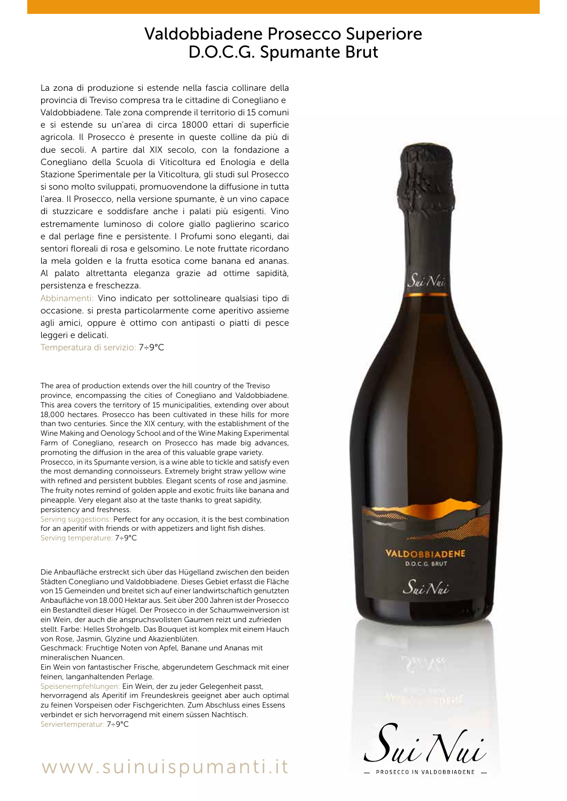## Valdobbiadene Prosecco Superiore D.O.C.G. Spumante Brut

La zona di produzione si estende nella fascia collinare della provincia di Treviso compresa tra le cittadine di Conegliano e Valdobbiadene. Tale zona comprende il territorio di 15 comuni e si estende su un'area di circa 18000 ettari di superficie agricola. Il Prosecco è presente in queste colline da più di due secoli. A partire dal XIX secolo, con la fondazione a Conegliano della Scuola di Viticoltura ed Enologia e della Stazione Sperimentale per la Viticoltura, gli studi sul Prosecco si sono molto sviluppati, promuovendone la diffusione in tutta l'area. Il Prosecco, nella versione spumante, è un vino capace di stuzzicare e soddisfare anche i palati più esigenti. Vino estremamente luminoso di colore giallo paglierino scarico e dal perlage fine e persistente. I Profumi sono eleganti, dai sentori floreali di rosa e gelsomino. Le note fruttate ricordano la mela golden e la frutta esotica come banana ed ananas. Al palato altrettanta eleganza grazie ad ottime sapidità, persistenza e freschezza.

Abbinamenti: Vino indicato per sottolineare qualsiasi tipo di occasione. si presta particolarmente come aperitivo assieme agli amici, oppure è ottimo con antipasti o piatti di pesce leggeri e delicati.

Temperatura di servizio: 7÷9°C

The area of production extends over the hill country of the Treviso province, encompassing the cities of Conegliano and Valdobbiadene. This area covers the territory of 15 municipalities, extending over about 18,000 hectares. Prosecco has been cultivated in these hills for more than two centuries. Since the XIX century, with the establishment of the Wine Making and Oenology School and of the Wine Making Experimental Farm of Conegliano, research on Prosecco has made big advances, promoting the diffusion in the area of this valuable grape variety.

Prosecco, in its Spumante version, is a wine able to tickle and satisfy even the most demanding connoisseurs. Extremely bright straw yellow wine with refined and persistent bubbles. Elegant scents of rose and jasmine. The fruity notes remind of golden apple and exotic fruits like banana and pineapple. Very elegant also at the taste thanks to great sapidity, persistency and freshness.

Serving suggestions: Perfect for any occasion, it is the best combination for an aperitif with friends or with appetizers and light fish dishes. Serving temperature: 7÷9°C

Die Anbaufläche erstreckt sich über das Hügelland zwischen den beiden Städten Conegliano und Valdobbiadene. Dieses Gebiet erfasst die Fläche von 15 Gemeinden und breitet sich auf einer landwirtschaftich genutzten Anbaufläche von 18.000 Hektar aus. Seit über 200 Jahren ist der Prosecco ein Bestandteil dieser Hügel. Der Prosecco in der Schaumweinversion ist ein Wein, der auch die anspruchsvollsten Gaumen reizt und zufrieden stellt. Farbe: Helles Strohgelb. Das Bouquet ist komplex mit einem Hauch von Rose, Jasmin, Glyzine und Akazienblüten.

Geschmack: Fruchtige Noten von Apfel, Banane und Ananas mit mineralischen Nuancen.

Ein Wein von fantastischer Frische, abgerundetem Geschmack mit einer feinen, langanhaltenden Perlage.

Speisenempfehlungen: Ein Wein, der zu jeder Gelegenheit passt, hervorragend als Aperitif im Freundeskreis geeignet aber auch optimal zu feinen Vorspeisen oder Fischgerichten. Zum Abschluss eines Essens verbindet er sich hervorragend mit einem süssen Nachtisch. Serviertemperatur: 7÷9°C

# www.suinuispumanti.it